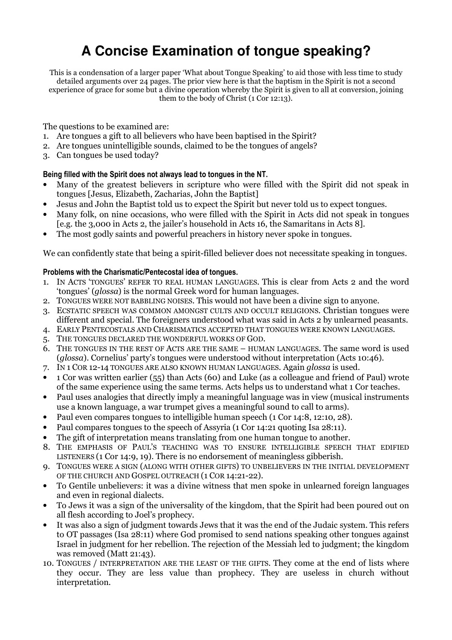# **A Concise Examination of tongue speaking?**

This is a condensation of a larger paper 'What about Tongue Speaking' to aid those with less time to study detailed arguments over 24 pages. The prior view here is that the baptism in the Spirit is not a second experience of grace for some but a divine operation whereby the Spirit is given to all at conversion, joining them to the body of Christ (1 Cor 12:13).

The questions to be examined are:

- 1. Are tongues a gift to all believers who have been baptised in the Spirit?
- 2. Are tongues unintelligible sounds, claimed to be the tongues of angels?
- 3. Can tongues be used today?

#### Being filled with the Spirit does not always lead to tongues in the NT.

- Many of the greatest believers in scripture who were filled with the Spirit did not speak in tongues [Jesus, Elizabeth, Zacharias, John the Baptist]
- Jesus and John the Baptist told us to expect the Spirit but never told us to expect tongues.
- Many folk, on nine occasions, who were filled with the Spirit in Acts did not speak in tongues [e.g. the 3,000 in Acts 2, the jailer's household in Acts 16, the Samaritans in Acts 8].
- The most godly saints and powerful preachers in history never spoke in tongues.

We can confidently state that being a spirit-filled believer does not necessitate speaking in tongues.

## Problems with the Charismatic/Pentecostal idea of tongues.

- 1. IN ACTS 'TONGUES' REFER TO REAL HUMAN LANGUAGES. This is clear from Acts 2 and the word 'tongues' (glossa) is the normal Greek word for human languages.
- 2. TONGUES WERE NOT BABBLING NOISES. This would not have been a divine sign to anyone.
- 3. ECSTATIC SPEECH WAS COMMON AMONGST CULTS AND OCCULT RELIGIONS. Christian tongues were different and special. The foreigners understood what was said in Acts 2 by unlearned peasants.
- 4. EARLY PENTECOSTALS AND CHARISMATICS ACCEPTED THAT TONGUES WERE KNOWN LANGUAGES.
- 5. THE TONGUES DECLARED THE WONDERFUL WORKS OF GOD.
- 6. THE TONGUES IN THE REST OF ACTS ARE THE SAME HUMAN LANGUAGES. The same word is used (glossa). Cornelius' party's tongues were understood without interpretation (Acts 10:46).
- 7. IN 1 COR 12-14 TONGUES ARE ALSO KNOWN HUMAN LANGUAGES. Again glossa is used.
- 1 Cor was written earlier (55) than Acts (60) and Luke (as a colleague and friend of Paul) wrote of the same experience using the same terms. Acts helps us to understand what 1 Cor teaches.
- Paul uses analogies that directly imply a meaningful language was in view (musical instruments use a known language, a war trumpet gives a meaningful sound to call to arms).
- Paul even compares tongues to intelligible human speech (1 Cor 14:8, 12:10, 28).
- Paul compares tongues to the speech of Assyria (1 Cor 14:21 quoting Isa 28:11).
- The gift of interpretation means translating from one human tongue to another.
- 8. THE EMPHASIS OF PAUL'S TEACHING WAS TO ENSURE INTELLIGIBLE SPEECH THAT EDIFIED LISTENERS (1 Cor 14:9, 19). There is no endorsement of meaningless gibberish.
- 9. TONGUES WERE A SIGN (ALONG WITH OTHER GIFTS) TO UNBELIEVERS IN THE INITIAL DEVELOPMENT OF THE CHURCH AND GOSPEL OUTREACH (1 COR 14:21-22).
- To Gentile unbelievers: it was a divine witness that men spoke in unlearned foreign languages and even in regional dialects.
- To Jews it was a sign of the universality of the kingdom, that the Spirit had been poured out on all flesh according to Joel's prophecy.
- It was also a sign of judgment towards Jews that it was the end of the Judaic system. This refers to OT passages (Isa 28:11) where God promised to send nations speaking other tongues against Israel in judgment for her rebellion. The rejection of the Messiah led to judgment; the kingdom was removed (Matt 21:43).
- 10. TONGUES / INTERPRETATION ARE THE LEAST OF THE GIFTS. They come at the end of lists where they occur. They are less value than prophecy. They are useless in church without interpretation.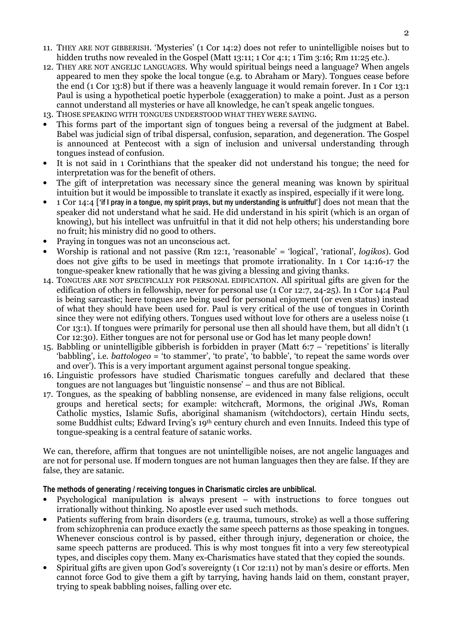- 11. THEY ARE NOT GIBBERISH. 'Mysteries' (1 Cor 14:2) does not refer to unintelligible noises but to hidden truths now revealed in the Gospel (Matt 13:11: 1 Cor 4:1: 1 Tim 3:16: Rm 11:25 etc.).
- 12. THEY ARE NOT ANGELIC LANGUAGES. Why would spiritual beings need a language? When angels appeared to men they spoke the local tongue (e.g. to Abraham or Mary). Tongues cease before the end (1 Cor 13:8) but if there was a heavenly language it would remain forever. In 1 Cor 13:1 Paul is using a hypothetical poetic hyperbole (exaggeration) to make a point. Just as a person cannot understand all mysteries or have all knowledge, he can't speak angelic tongues.
- 13. THOSE SPEAKING WITH TONGUES UNDERSTOOD WHAT THEY WERE SAYING.
- This forms part of the important sign of tongues being a reversal of the judgment at Babel. Babel was judicial sign of tribal dispersal, confusion, separation, and degeneration. The Gospel is announced at Pentecost with a sign of inclusion and universal understanding through tongues instead of confusion.
- It is not said in 1 Corinthians that the speaker did not understand his tongue; the need for interpretation was for the benefit of others.
- The gift of interpretation was necessary since the general meaning was known by spiritual intuition but it would be impossible to translate it exactly as inspired, especially if it were long.
- 1 Cor 14:4 ['if I pray in a tongue, my spirit prays, but my understanding is unfruitful'] does not mean that the speaker did not understand what he said. He did understand in his spirit (which is an organ of knowing), but his intellect was unfruitful in that it did not help others; his understanding bore no fruit; his ministry did no good to others.
- Praying in tongues was not an unconscious act.
- Worship is rational and not passive (Rm 12:1, 'reasonable' = 'logical', 'rational', logikos). God does not give gifts to be used in meetings that promote irrationality. In 1 Cor 14:16-17 the tongue-speaker knew rationally that he was giving a blessing and giving thanks.
- 14. TONGUES ARE NOT SPECIFICALLY FOR PERSONAL EDIFICATION. All spiritual gifts are given for the edification of others in fellowship, never for personal use (1 Cor 12:7, 24-25). In 1 Cor 14:4 Paul is being sarcastic; here tongues are being used for personal enjoyment (or even status) instead of what they should have been used for. Paul is very critical of the use of tongues in Corinth since they were not edifying others. Tongues used without love for others are a useless noise (1 Cor 13:1). If tongues were primarily for personal use then all should have them, but all didn't (1 Cor 12:30). Either tongues are not for personal use or God has let many people down!
- 15. Babbling or unintelligible gibberish is forbidden in prayer (Matt 6:7 'repetitions' is literally 'babbling', i.e. battologeo = 'to stammer', 'to prate', 'to babble', 'to repeat the same words over and over'). This is a very important argument against personal tongue speaking.
- 16. Linguistic professors have studied Charismatic tongues carefully and declared that these tongues are not languages but 'linguistic nonsense' – and thus are not Biblical.
- 17. Tongues, as the speaking of babbling nonsense, are evidenced in many false religions, occult groups and heretical sects; for example: witchcraft, Mormons, the original JWs, Roman Catholic mystics, Islamic Sufis, aboriginal shamanism (witchdoctors), certain Hindu sects, some Buddhist cults; Edward Irving's 19<sup>th</sup> century church and even Innuits. Indeed this type of tongue-speaking is a central feature of satanic works.

We can, therefore, affirm that tongues are not unintelligible noises, are not angelic languages and are not for personal use. If modern tongues are not human languages then they are false. If they are false, they are satanic.

#### The methods of generating / receiving tongues in Charismatic circles are unbiblical.

- Psychological manipulation is always present with instructions to force tongues out irrationally without thinking. No apostle ever used such methods.
- Patients suffering from brain disorders (e.g. trauma, tumours, stroke) as well a those suffering from schizophrenia can produce exactly the same speech patterns as those speaking in tongues. Whenever conscious control is by passed, either through injury, degeneration or choice, the same speech patterns are produced. This is why most tongues fit into a very few stereotypical types, and disciples copy them. Many ex-Charismatics have stated that they copied the sounds.
- Spiritual gifts are given upon God's sovereignty (1 Cor 12:11) not by man's desire or efforts. Men cannot force God to give them a gift by tarrying, having hands laid on them, constant prayer, trying to speak babbling noises, falling over etc.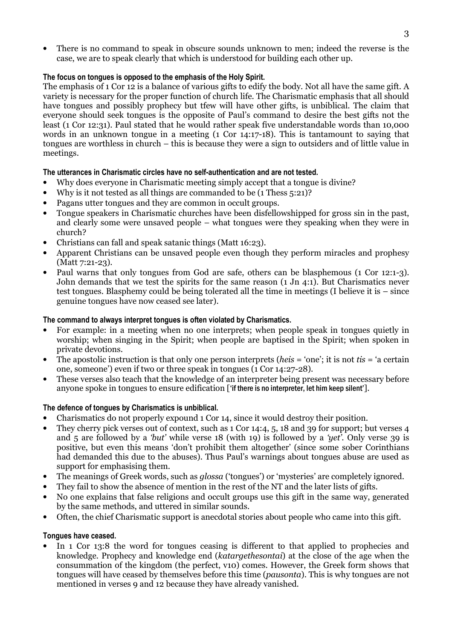• There is no command to speak in obscure sounds unknown to men; indeed the reverse is the case, we are to speak clearly that which is understood for building each other up.

## The focus on tongues is opposed to the emphasis of the Holy Spirit.

The emphasis of 1 Cor 12 is a balance of various gifts to edify the body. Not all have the same gift. A variety is necessary for the proper function of church life. The Charismatic emphasis that all should have tongues and possibly prophecy but tfew will have other gifts, is unbiblical. The claim that everyone should seek tongues is the opposite of Paul's command to desire the best gifts not the least (1 Cor 12:31). Paul stated that he would rather speak five understandable words than 10,000 words in an unknown tongue in a meeting (1 Cor 14:17-18). This is tantamount to saying that tongues are worthless in church – this is because they were a sign to outsiders and of little value in meetings.

## The utterances in Charismatic circles have no self-authentication and are not tested.

- Why does everyone in Charismatic meeting simply accept that a tongue is divine?
- Why is it not tested as all things are commanded to be (1 Thess 5:21)?
- Pagans utter tongues and they are common in occult groups.
- Tongue speakers in Charismatic churches have been disfellowshipped for gross sin in the past, and clearly some were unsaved people – what tongues were they speaking when they were in church?
- Christians can fall and speak satanic things (Matt 16:23).
- Apparent Christians can be unsaved people even though they perform miracles and prophesy (Matt 7:21-23).
- Paul warns that only tongues from God are safe, others can be blasphemous (1 Cor 12:1-3). John demands that we test the spirits for the same reason (1 Jn 4:1). But Charismatics never test tongues. Blasphemy could be being tolerated all the time in meetings (I believe it is – since genuine tongues have now ceased see later).

#### The command to always interpret tongues is often violated by Charismatics.

- For example: in a meeting when no one interprets; when people speak in tongues quietly in worship; when singing in the Spirit; when people are baptised in the Spirit; when spoken in private devotions.
- The apostolic instruction is that only one person interprets (*heis* = 'one'; it is not *tis* = 'a certain one, someone') even if two or three speak in tongues (1 Cor 14:27-28).
- These verses also teach that the knowledge of an interpreter being present was necessary before anyone spoke in tongues to ensure edification ['if there is no interpreter, let him keep silent'].

#### The defence of tongues by Charismatics is unbiblical.

- Charismatics do not properly expound 1 Cor 14, since it would destroy their position.
- They cherry pick verses out of context, such as 1 Cor 14:4, 5, 18 and 39 for support; but verses 4 and  $\overline{5}$  are followed by a 'but' while verse 18 (with 19) is followed by a 'yet'. Only verse 39 is positive, but even this means 'don't prohibit them altogether' (since some sober Corinthians had demanded this due to the abuses). Thus Paul's warnings about tongues abuse are used as support for emphasising them.
- The meanings of Greek words, such as *qlossa* ('tongues') or 'mysteries' are completely ignored.
- They fail to show the absence of mention in the rest of the NT and the later lists of gifts.
- No one explains that false religions and occult groups use this gift in the same way, generated by the same methods, and uttered in similar sounds.
- Often, the chief Charismatic support is anecdotal stories about people who came into this gift.

#### Tongues have ceased.

• In 1 Cor 13:8 the word for tongues ceasing is different to that applied to prophecies and knowledge. Prophecy and knowledge end (katargethesontai) at the close of the age when the consummation of the kingdom (the perfect, v10) comes. However, the Greek form shows that tongues will have ceased by themselves before this time (pausonta). This is why tongues are not mentioned in verses 9 and 12 because they have already vanished.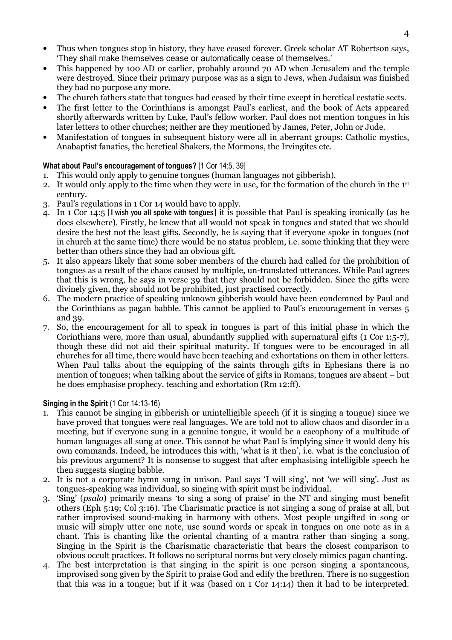- Thus when tongues stop in history, they have ceased forever. Greek scholar AT Robertson says, 'They shall make themselves cease or automatically cease of themselves.'
- This happened by 100 AD or earlier, probably around 70 AD when Jerusalem and the temple were destroyed. Since their primary purpose was as a sign to Jews, when Judaism was finished they had no purpose any more.
- The church fathers state that tongues had ceased by their time except in heretical ecstatic sects.
- The first letter to the Corinthians is amongst Paul's earliest, and the book of Acts appeared shortly afterwards written by Luke, Paul's fellow worker. Paul does not mention tongues in his later letters to other churches; neither are they mentioned by James, Peter, John or Jude.
- Manifestation of tongues in subsequent history were all in aberrant groups: Catholic mystics, Anabaptist fanatics, the heretical Shakers, the Mormons, the Irvingites etc.

#### What about Paul's encouragement of tongues? [1 Cor 14:5, 39]

- 1. This would only apply to genuine tongues (human languages not gibberish).
- 2. It would only apply to the time when they were in use, for the formation of the church in the 1<sup>st</sup> century.
- 3. Paul's regulations in 1 Cor 14 would have to apply.
- 4. In 1 Cor 14:5 [I wish you all spoke with tongues] it is possible that Paul is speaking ironically (as he does elsewhere). Firstly, he knew that all would not speak in tongues and stated that we should desire the best not the least gifts. Secondly, he is saying that if everyone spoke in tongues (not in church at the same time) there would be no status problem, i.e. some thinking that they were better than others since they had an obvious gift.
- 5. It also appears likely that some sober members of the church had called for the prohibition of tongues as a result of the chaos caused by multiple, un-translated utterances. While Paul agrees that this is wrong, he says in verse 39 that they should not be forbidden. Since the gifts were divinely given, they should not be prohibited, just practised correctly.
- 6. The modern practice of speaking unknown gibberish would have been condemned by Paul and the Corinthians as pagan babble. This cannot be applied to Paul's encouragement in verses 5 and 39.
- 7. So, the encouragement for all to speak in tongues is part of this initial phase in which the Corinthians were, more than usual, abundantly supplied with supernatural gifts (1 Cor 1:5-7), though these did not aid their spiritual maturity. If tongues were to be encouraged in all churches for all time, there would have been teaching and exhortations on them in other letters. When Paul talks about the equipping of the saints through gifts in Ephesians there is no mention of tongues; when talking about the service of gifts in Romans, tongues are absent – but he does emphasise prophecy, teaching and exhortation (Rm 12:ff).

#### Singing in the Spirit (1 Cor 14:13-16)

- 1. This cannot be singing in gibberish or unintelligible speech (if it is singing a tongue) since we have proved that tongues were real languages. We are told not to allow chaos and disorder in a meeting, but if everyone sung in a genuine tongue, it would be a cacophony of a multitude of human languages all sung at once. This cannot be what Paul is implying since it would deny his own commands. Indeed, he introduces this with, 'what is it then', i.e. what is the conclusion of his previous argument? It is nonsense to suggest that after emphasising intelligible speech he then suggests singing babble.
- 2. It is not a corporate hymn sung in unison. Paul says 'I will sing', not 'we will sing'. Just as tongues-speaking was individual, so singing with spirit must be individual.
- 3. 'Sing' (psalo) primarily means 'to sing a song of praise' in the NT and singing must benefit others (Eph 5:19; Col 3:16). The Charismatic practice is not singing a song of praise at all, but rather improvised sound-making in harmony with others. Most people ungifted in song or music will simply utter one note, use sound words or speak in tongues on one note as in a chant. This is chanting like the oriental chanting of a mantra rather than singing a song. Singing in the Spirit is the Charismatic characteristic that bears the closest comparison to obvious occult practices. It follows no scriptural norms but very closely mimics pagan chanting.
- 4. The best interpretation is that singing in the spirit is one person singing a spontaneous, improvised song given by the Spirit to praise God and edify the brethren. There is no suggestion that this was in a tongue; but if it was (based on 1 Cor 14:14) then it had to be interpreted.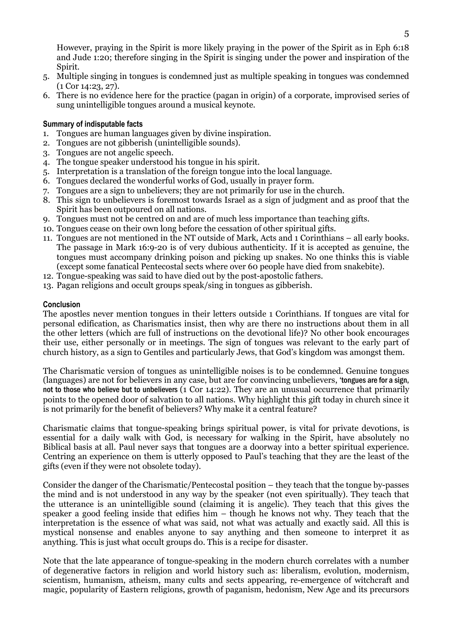However, praying in the Spirit is more likely praying in the power of the Spirit as in Eph 6:18 and Jude 1:20; therefore singing in the Spirit is singing under the power and inspiration of the Spirit.

- 5. Multiple singing in tongues is condemned just as multiple speaking in tongues was condemned (1 Cor 14:23, 27).
- 6. There is no evidence here for the practice (pagan in origin) of a corporate, improvised series of sung unintelligible tongues around a musical keynote.

#### Summary of indisputable facts

- 1. Tongues are human languages given by divine inspiration.
- 2. Tongues are not gibberish (unintelligible sounds).
- 3. Tongues are not angelic speech.
- 4. The tongue speaker understood his tongue in his spirit.
- 5. Interpretation is a translation of the foreign tongue into the local language.
- 6. Tongues declared the wonderful works of God, usually in prayer form.
- 7. Tongues are a sign to unbelievers; they are not primarily for use in the church.
- 8. This sign to unbelievers is foremost towards Israel as a sign of judgment and as proof that the Spirit has been outpoured on all nations.
- 9. Tongues must not be centred on and are of much less importance than teaching gifts.
- 10. Tongues cease on their own long before the cessation of other spiritual gifts.
- 11. Tongues are not mentioned in the NT outside of Mark, Acts and 1 Corinthians all early books. The passage in Mark 16:9-20 is of very dubious authenticity. If it is accepted as genuine, the tongues must accompany drinking poison and picking up snakes. No one thinks this is viable (except some fanatical Pentecostal sects where over 60 people have died from snakebite).
- 12. Tongue-speaking was said to have died out by the post-apostolic fathers.
- 13. Pagan religions and occult groups speak/sing in tongues as gibberish.

#### Conclusion

The apostles never mention tongues in their letters outside 1 Corinthians. If tongues are vital for personal edification, as Charismatics insist, then why are there no instructions about them in all the other letters (which are full of instructions on the devotional life)? No other book encourages their use, either personally or in meetings. The sign of tongues was relevant to the early part of church history, as a sign to Gentiles and particularly Jews, that God's kingdom was amongst them.

The Charismatic version of tongues as unintelligible noises is to be condemned. Genuine tongues (languages) are not for believers in any case, but are for convincing unbelievers, 'tongues are for a sign, not to those who believe but to unbelievers (1 Cor 14:22). They are an unusual occurrence that primarily points to the opened door of salvation to all nations. Why highlight this gift today in church since it is not primarily for the benefit of believers? Why make it a central feature?

Charismatic claims that tongue-speaking brings spiritual power, is vital for private devotions, is essential for a daily walk with God, is necessary for walking in the Spirit, have absolutely no Biblical basis at all. Paul never says that tongues are a doorway into a better spiritual experience. Centring an experience on them is utterly opposed to Paul's teaching that they are the least of the gifts (even if they were not obsolete today).

Consider the danger of the Charismatic/Pentecostal position – they teach that the tongue by-passes the mind and is not understood in any way by the speaker (not even spiritually). They teach that the utterance is an unintelligible sound (claiming it is angelic). They teach that this gives the speaker a good feeling inside that edifies him – though he knows not why. They teach that the interpretation is the essence of what was said, not what was actually and exactly said. All this is mystical nonsense and enables anyone to say anything and then someone to interpret it as anything. This is just what occult groups do. This is a recipe for disaster.

Note that the late appearance of tongue-speaking in the modern church correlates with a number of degenerative factors in religion and world history such as: liberalism, evolution, modernism, scientism, humanism, atheism, many cults and sects appearing, re-emergence of witchcraft and magic, popularity of Eastern religions, growth of paganism, hedonism, New Age and its precursors